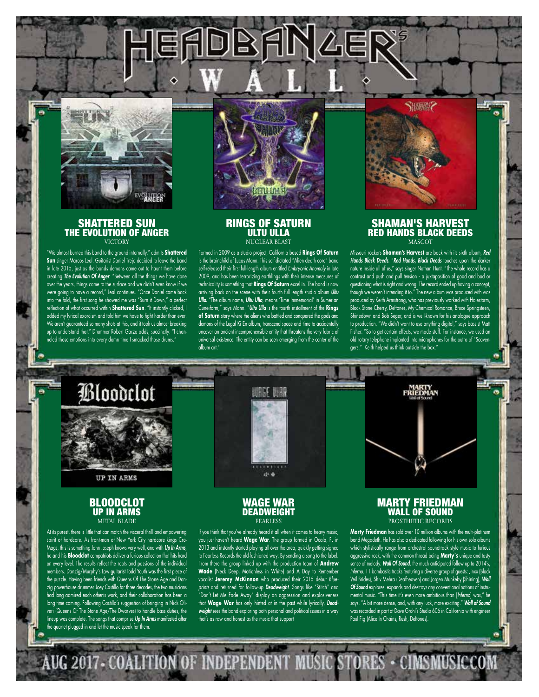

## SHATTERED SUN THE EVOLUTION OF ANGER **VICTORY**

"We almost burned this band to the ground internally," admits **Shattered Sun** singer Marcos Leal. Guitarist Daniel Trejo decided to leave the band in late 2015, just as the bands demons came out to haunt them before creating *The Evolution Of Anger*. "Between all the things we have done over the years, things came to the surface and we didn't even know if we were going to have a record," Leal continues. "Once Daniel came back into the fold, the first song he showed me was "Burn it Down," a perfect reflection of what occurred within **Shattered Sun**. "It instantly clicked, I added my lyrical exorcism and told him we have to fight harder than ever. We aren't guaranteed so many shots at this, and it took us almost breaking up to understand that." Drummer Robert Garza adds, succinctly: "I channeled those emotions into every damn time I smacked those drums."



DBANAER

### RINGS OF SATURN ULTU ULLA NUCLEAR BLAST

Formed in 2009 as a studio project, California based **Rings Of Saturn** is the brainchild of Lucas Mann. This self-dictated "Alien death core" band self-released their first full-length album entitled *Embryonic Anomaly* in late 2009, and has been terrorizing earthlings with their intense measures of technicality is something that **Rings Of Saturn** excel in. The band is now arriving back on the scene with their fourth full length studio album *Ultu Ulla.* "The album name, *Ultu Ulla*, means 'Time Immemorial' in Sumerian Cuneiform," says Mann. "*Ultu Ulla* is the fourth installment of the **Rings of Saturn** story where the aliens who battled and conquered the gods and demons of the Lugal Ki En album, transcend space and time to accidentally uncover an ancient incomprehensible entity that threatens the very fabric of universal existence. The entity can be seen emerging from the center of the album art."

#### SHAMAN'S HARVEST RED HANDS BLACK DEEDS **MASCOT**

**SHAME!?** 

Missouri rockers **Shaman's Harvest** are back with its sixth album, *Red Hands Black Deeds.* "*Red Hands, Black Deeds* touches upon the darker nature inside all of us," says singer Nathan Hunt. "The whole record has a contrast and push and pull tension - a juxtaposition of good and bad or questioning what is right and wrong. The record ended up having a concept, though we weren't intending it to." The new album was produced with was produced by Keith Armstrong, who has previously worked with Halestorm, Black Stone Cherry, Deftones, My Chemical Romance, Bruce Springsteen, Shinedown and Bob Seger, and is well-known for his analogue approach to production. "We didn't want to use anything digital," says bassist Matt Fisher. "So to get certain effects, we made stuff. For instance, we used an old rotary telephone implanted into microphones for the outro of "Scavengers." Keith helped us think outside the box."



**UP IN ARMS** 

### **BLOODCLOT** UP IN ARMS METAL BLADE

At its purest, there is little that can match the visceral thrill and empowering spirit of hardcore. As front-man of New York City hardcore kings Cro-Mags, this is something John Joseph knows very well, and with *Up In Arms*, he and his **Bloodclot** compatriots deliver a furious collection that hits hard on every level. The results reflect the roots and passions of the individual members. Danzig/Murphy's Law guitarist Todd Youth was the first piece of the puzzle. Having been friends with Queens Of The Stone Age and Danzig powerhouse drummer Joey Castillo for three decades, the two musicians had long admired each other›s work, and their collaboration has been a long time coming. Following Castillo's suggestion of bringing in Nick Oliveri (Queens Of The Stone Age/The Dwarves) to handle bass duties, the lineup was complete. The songs that comprise *Up In Arms* manifested after the quartet plugged in and let the music speak for them

AUG 2017 - COALIT



WAGE WAR DEADWEIGHT **FEARLESS** 

If you think that you've already heard it all when it comes to heavy music, you just haven't heard **Wage War**. The group formed in Ocala, FL in 2013 and instantly started playing all over the area, quickly getting signed to Fearless Records the old-fashioned way: By sending a song to the label. From there the group linked up with the production team of **Andrew Wade** (Neck Deep, Motionless in White) and A Day to Remember vocalist **Jeremy McKinnon** who produced their 2015 debut *Blueprints* and returned for follow-up *Deadweight*. Songs like "Stitch" and "Don't Let Me Fade Away" display an aggression and explosiveness that **Wage War** has only hinted at in the past while lyrically, *Deadweight* sees the band exploring both personal and political issues in a way that's as raw and honest as the music that support

#### MARTY FRIEDMAN WALL OF SOUND PROSTHETIC RECORDS

**Marty Friedman** has sold over 10 million albums with the multi-platinum band Megadeth. He has also a dedicated following for his own solo albums which stylistically range from orchestral soundtrack style music to furious aggressive rock, with the common thread being **Marty`s** unique and tasty sense of melody. *Wall Of Sound*, the much anticipated follow up to 2014's, *Inferno*. 11 bombastic tracks featuring a diverse group of guests: Jinxx (Black Veil Brides), Shiv Mehra (Deafheaven) and Jorgen Munkeby (Shining), *Wall Of Sound* explores, expands and destroys any conventional notions of instrumental music. "This time it's even more ambitious than [*Inferno*] was," he says. "A bit more dense, and, with any luck, more exciting." *Wall of Sound* was recorded in part at Dave Grohl's Studio 606 in California with engineer Paul Fig (Alice In Chains, Rush, Deftones).